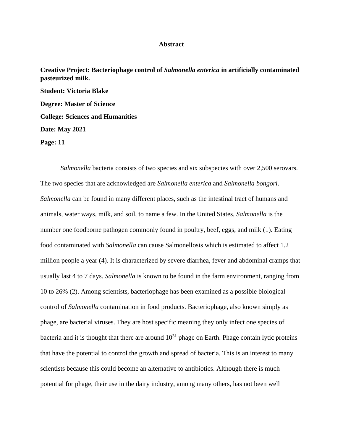## **Abstract**

**Creative Project: Bacteriophage control of** *Salmonella enterica* **in artificially contaminated pasteurized milk. Student: Victoria Blake Degree: Master of Science College: Sciences and Humanities Date: May 2021 Page: 11**

*Salmonella* bacteria consists of two species and six subspecies with over 2,500 serovars. The two species that are acknowledged are *Salmonella enterica* and *Salmonella bongori*. *Salmonella* can be found in many different places, such as the intestinal tract of humans and animals, water ways, milk, and soil, to name a few. In the United States, *Salmonella* is the number one foodborne pathogen commonly found in poultry, beef, eggs, and milk (1). Eating food contaminated with *Salmonella* can cause Salmonellosis which is estimated to affect 1.2 million people a year (4). It is characterized by severe diarrhea, fever and abdominal cramps that usually last 4 to 7 days. *Salmonella* is known to be found in the farm environment, ranging from 10 to 26% (2). Among scientists, bacteriophage has been examined as a possible biological control of *Salmonella* contamination in food products. Bacteriophage, also known simply as phage, are bacterial viruses. They are host specific meaning they only infect one species of bacteria and it is thought that there are around  $10^{31}$  phage on Earth. Phage contain lytic proteins that have the potential to control the growth and spread of bacteria. This is an interest to many scientists because this could become an alternative to antibiotics. Although there is much potential for phage, their use in the dairy industry, among many others, has not been well